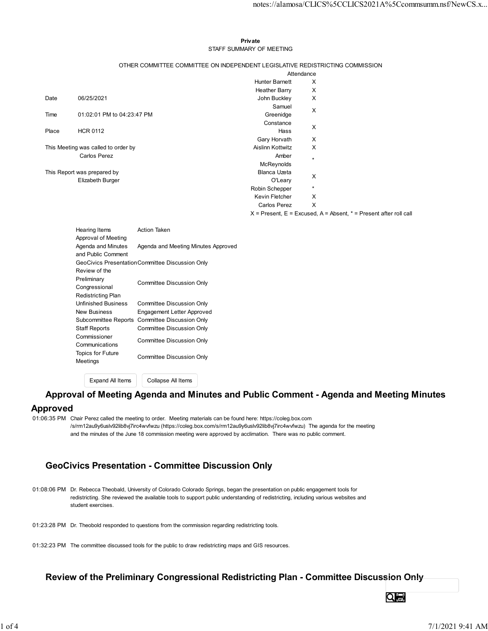#### Private **Private** and *Private* and *Private* and *Private* and *Private* and *Private* and *Private* and *Private* and *Private* and *Private* and *Private* and *Private* and *Private* and *Private* and *Private* and *Pri* STAFF SUMMARY OF MEETING

|       |                                      |                                                                               |                                  | notes://alamosa/CLICS%5CCLICS2021A%5Ccommsumm.nsf/NewCS.x                 |  |
|-------|--------------------------------------|-------------------------------------------------------------------------------|----------------------------------|---------------------------------------------------------------------------|--|
|       |                                      |                                                                               |                                  |                                                                           |  |
|       |                                      |                                                                               |                                  |                                                                           |  |
|       |                                      |                                                                               | Private                          |                                                                           |  |
|       |                                      |                                                                               | STAFF SUMMARY OF MEETING         |                                                                           |  |
|       |                                      | OTHER COMMITTEE COMMITTEE ON INDEPENDENT LEGISLATIVE REDISTRICTING COMMISSION |                                  |                                                                           |  |
|       |                                      |                                                                               |                                  | Attendance                                                                |  |
|       |                                      |                                                                               | <b>Hunter Barnett</b>            | X                                                                         |  |
|       |                                      |                                                                               | Heather Barry                    | X                                                                         |  |
| Date  | 06/25/2021                           |                                                                               | John Buckley<br>Samuel           | Χ                                                                         |  |
| Time  | 01:02:01 PM to 04:23:47 PM           |                                                                               | Greenidge                        | X                                                                         |  |
|       |                                      |                                                                               | Constance                        | X                                                                         |  |
| Place | <b>HCR 0112</b>                      |                                                                               | Hass                             |                                                                           |  |
|       | This Meeting was called to order by  |                                                                               | Gary Horvath<br>Aislinn Kottwitz | X<br>X                                                                    |  |
|       | Carlos Perez                         |                                                                               | Amber                            | $^\star$                                                                  |  |
|       |                                      |                                                                               | McReynolds                       |                                                                           |  |
|       | This Report was prepared by          |                                                                               | Blanca Uzeta<br>O'Leary          | X                                                                         |  |
|       | Elizabeth Burger                     |                                                                               | Robin Schepper                   | $\star$                                                                   |  |
|       |                                      |                                                                               | Kevin Fletcher                   | X                                                                         |  |
|       |                                      |                                                                               | Carlos Perez                     | X                                                                         |  |
|       |                                      |                                                                               |                                  | $X =$ Present, $E =$ Excused, $A =$ Absent, $* =$ Present after roll call |  |
|       | Hearing Items<br>Approval of Meeting | Action Taken                                                                  |                                  |                                                                           |  |
|       | Agenda and Minutes                   | Agenda and Meeting Minutes Approved                                           |                                  |                                                                           |  |
|       | and Public Comment                   | GeoCivics PresentationCommittee Discussion Only                               |                                  |                                                                           |  |
|       | Review of the                        |                                                                               |                                  |                                                                           |  |
|       | Preliminary                          | Committee Discussion Only                                                     |                                  |                                                                           |  |
|       | Congressional<br>Redistricting Plan  |                                                                               |                                  |                                                                           |  |
|       | <b>Unfinished Business</b>           | <b>Committee Discussion Only</b>                                              |                                  |                                                                           |  |
|       | <b>New Business</b>                  | Engagement Letter Approved                                                    |                                  |                                                                           |  |
|       |                                      | Subcommittee Reports Committee Discussion Only                                |                                  |                                                                           |  |
|       | <b>Staff Reports</b><br>Commissioner | <b>Committee Discussion Only</b>                                              |                                  |                                                                           |  |
|       | Communications                       | Committee Discussion Only                                                     |                                  |                                                                           |  |
|       | Topics for Future                    | Committee Discussion Only                                                     |                                  |                                                                           |  |
|       | Meetings                             |                                                                               |                                  |                                                                           |  |
|       |                                      |                                                                               |                                  |                                                                           |  |

| Preliminary               | Committee Discussion Only         |
|---------------------------|-----------------------------------|
| Congressional             |                                   |
| <b>Redistricting Plan</b> |                                   |
| Unfinished Business       | Committee Discussion Only         |
| <b>New Business</b>       | <b>Engagement Letter Approved</b> |
| Subcommittee Reports      | Committee Discussion Only         |
| <b>Staff Reports</b>      | Committee Discussion Only         |
| Commissioner              | Committee Discussion Only         |
| Communications            |                                   |
| Topics for Future         | Committee Discussion Only         |
| Meetings                  |                                   |
|                           |                                   |
| Expand All Items          | Collapse All Items                |
|                           |                                   |

## Approval of Meeting Agenda and Minutes and Public Comment - Agenda and Meeting Minutes

#### Approved

01:06:35 PM Chair Perez called the meeting to order. Meeting materials can be found here: https://coleg.box.com /s/rm12au9y6uslv92lib8vj7irc4wvfwzu (https://coleg.box.com/s/rm12au9y6uslv92lib8vj7irc4wvfwzu) The agenda for the meeting and the minutes of the June 18 commission meeting were approved by acclimation. There was no public comment.

# GeoCivics Presentation - Committee Discussion Only

01:08:06 PM Dr. Rebecca Theobald, University of Colorado Colorado Springs, began the presentation on public engagement tools for redistricting. She reviewed the available tools to support public understanding of redistricting, including various websites and student exercises.

- 01:23:28 PM Dr. Theobold responded to questions from the commission regarding redistricting tools.
- 01:32:23 PM The committee discussed tools for the public to draw redistricting maps and GIS resources.

## Review of the Preliminary Congressional Redistricting Plan - Committee Discussion Only

Qe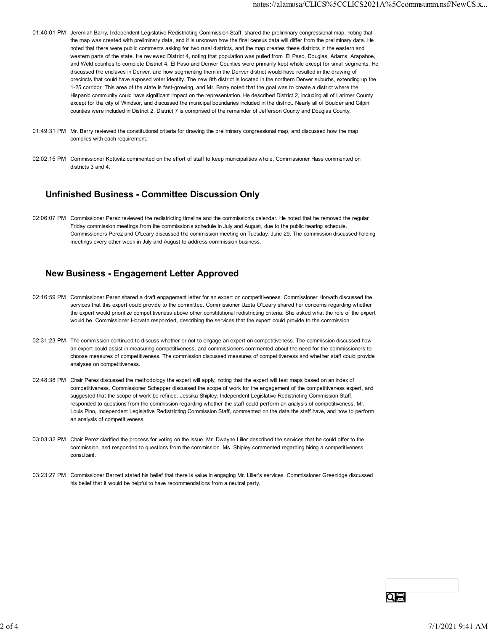- 01:40:01 PM Jeremiah Barry, Independent Legislative Redistricting Commission Staff, shared the preliminary congressional map, noting that the map was created with preliminary data, and it is unknown how the final census data will differ from the preliminary data. He noted that there were public comments asking for two rural districts, and the map creates these districts in the eastern and western parts of the state. He reviewed District 4, noting that population was pulled from El Paso, Douglas, Adams, Arapahoe, and Weld counties to complete District 4. El Paso and Denver Counties were primarily kept whole except for small segments. He discussed the enclaves in Denver, and how segmenting them in the Denver district would have resulted in the drawing of precincts that could have exposed voter identity. The new 8th district is located in the northern Denver suburbs, extending up the 1-25 corridor. This area of the state is fast-growing, and Mr. Barry noted that the goal was to create a district where the Hispanic community could have significant impact on the representation. He described District 2, including all of Larimer County except for the city of Windsor, and discussed the municipal boundaries included in the district. Nearly all of Boulder and Gilpin counties were included in District 2. District 7 is comprised of the remainder of Jefferson County and Douglas County.
- 01:49:31 PM Mr. Barry reviewed the constitutional criteria for drawing the preliminary congressional map, and discussed how the map complies with each requirement.
- 02:02:15 PM Commissioner Kottwitz commented on the effort of staff to keep municipalities whole. Commissioner Hass commented on districts 3 and 4.

# Unfinished Business - Committee Discussion Only

02:06:07 PM Commissioner Perez reviewed the redistricting timeline and the commission's calendar. He noted that he removed the regular Friday commission meetings from the commission's schedule in July and August, due to the public hearing schedule. Commissioners Perez and O'Leary discussed the commission meeting on Tuesday, June 29. The commission discussed holding meetings every other week in July and August to address commission business.

# New Business - Engagement Letter Approved

- 02:16:59 PM Commissioner Perez shared a draft engagement letter for an expert on competitiveness. Commissioner Horvath discussed the services that this expert could provide to the committee. Commissioner Uzeta O'Leary shared her concerns regarding whether the expert would prioritize competitiveness above other constitutional redistricting criteria. She asked what the role of the expert would be. Commissioner Horvath responded, describing the services that the expert could provide to the commission.
- 02:31:23 PM The commission continued to discuss whether or not to engage an expert on competitiveness. The commission discussed how an expert could assist in measuring competitiveness, and commissioners commented about the need for the commissioners to choose measures of competitiveness. The commission discussed measures of competitiveness and whether staff could provide analyses on competitiveness.
- 02:48:38 PM Chair Perez discussed the methodology the expert will apply, noting that the expert will test maps based on an index of competitiveness. Commissioner Schepper discussed the scope of work for the engagement of the competitiveness expert, and suggested that the scope of work be refined. Jessika Shipley, Independent Legislative Redistricting Commission Staff, responded to questions from the commission regarding whether the staff could perform an analysis of competitiveness. Mr. Louis Pino, Independent Legislative Redistricting Commission Staff, commented on the data the staff have, and how to perform an analysis of competitiveness.
- 03:03:32 PM Chair Perez clarified the process for voting on the issue. Mr. Dwayne Liller described the services that he could offer to the commission, and responded to questions from the commission. Ms. Shipley commented regarding hiring a competitiveness consultant.
- 03:23:27 PM Commissioner Barnett stated his belief that there is value in engaging Mr. Liller's services. Commissioner Greenidge discussed his belief that it would be helpful to have recommendations from a neutral party.

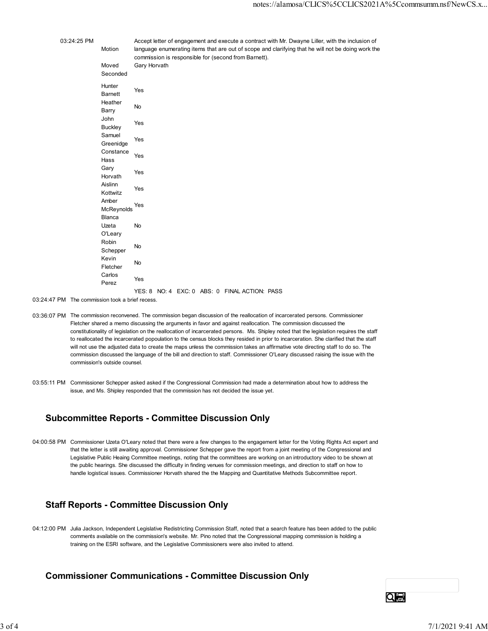|             |                                  | notes://alamosa/CLICS%5CCLICS2021A%5Ccommsumm.nsf/NewCS.x                                                                                                  |
|-------------|----------------------------------|------------------------------------------------------------------------------------------------------------------------------------------------------------|
|             |                                  |                                                                                                                                                            |
| 03:24:25 PM |                                  | Accept letter of engagement and execute a contract with Mr. Dwayne Liller, with the inclusion of                                                           |
|             | Motion                           | language enumerating items that are out of scope and clarifying that he will not be doing work the<br>commission is responsible for (second from Barnett). |
|             | Moved<br>Seconded                | Gary Horvath                                                                                                                                               |
|             | Hunter<br>Barnett                | Yes                                                                                                                                                        |
|             | Heather<br>Barry                 | No                                                                                                                                                         |
|             | John<br><b>Buckley</b>           | Yes                                                                                                                                                        |
|             | Samuel<br>Greenidge              | Yes                                                                                                                                                        |
|             | Constance<br>Hass                | Yes                                                                                                                                                        |
|             | Gary<br>Horvath                  | Yes                                                                                                                                                        |
|             | Aislinn<br>Kottwitz              | Yes                                                                                                                                                        |
|             | Amber<br>Yes<br>McReynolds<br>Fi |                                                                                                                                                            |
|             | Blanca<br>Uzeta                  | No                                                                                                                                                         |
|             | O'Leary<br>Robin                 |                                                                                                                                                            |
|             | Schepper<br>Kevin                | $\mathsf{No}$                                                                                                                                              |
|             | Fletcher<br>Carlos               | $\mathsf{No}$                                                                                                                                              |
|             | Perez                            | Yes                                                                                                                                                        |
|             |                                  | YES: 8 NO: 4 EXC: 0 ABS: 0 FINAL ACTION: PASS                                                                                                              |

03:24:47 PM The commission took a brief recess.

- 03:36:07 PM The commission reconvened. The commission began discussion of the reallocation of incarcerated persons. Commissioner Fletcher shared a memo discussing the arguments in favor and against reallocation. The commission discussed the constitutionality of legislation on the reallocation of incarcerated persons. Ms. Shipley noted that the legislation requires the staff to reallocated the incarcerated popoulation to the census blocks they resided in prior to incarceration. She clarified that the staff will not use the adjusted data to create the maps unless the commission takes an affirmative vote directing staff to do so. The commission discussed the language of the bill and direction to staff. Commissioner O'Leary discussed raising the issue with the commission's outside counsel.
- 03:55:11 PM Commissioner Schepper asked asked if the Congressional Commission had made a determination about how to address the issue, and Ms. Shipley responded that the commission has not decided the issue yet.

## Subcommittee Reports - Committee Discussion Only

04:00:58 PM Commissioner Uzeta O'Leary noted that there were a few changes to the engagement letter for the Voting Rights Act expert and that the letter is still awaiting approval. Commissioner Schepper gave the report from a joint meeting of the Congressional and Legislative Public Heaing Committee meetings, noting that the committees are working on an introductory video to be shown at the public hearings. She discussed the difficulty in finding venues for commission meetings, and direction to staff on how to handle logistical issues. Commissioner Horvath shared the the Mapping and Quantitative Methods Subcommittee report.

# Staff Reports - Committee Discussion Only

04:12:00 PM Julia Jackson, Independent Legislative Redistricting Commission Staff, noted that a search feature has been added to the public comments available on the commission's website. Mr. Pino noted that the Congressional mapping commission is holding a training on the ESRI software, and the Legislative Commissioners were also invited to attend.

## Commissioner Communications - Committee Discussion Only

Qe